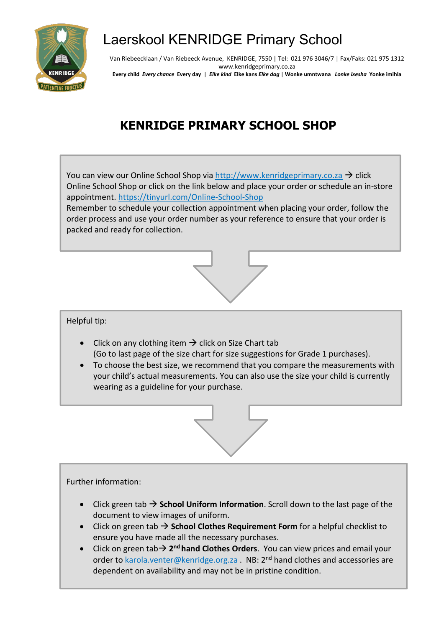

## Laerskool KENRIDGE Primary School

Van Riebeecklaan / Van Riebeeck Avenue, KENRIDGE, 7550 | Tel: 021 976 3046/7 | Fax/Faks: 021 975 1312 www.kenridgeprimary.co.za **Every child** *Every chance* **Every day** | *Elke kind* **Elke kans** *Elke dag* | **Wonke umntwana** *Lonke ixesha* **Yonke imihla**

## **KENRIDGE PRIMARY SCHOOL SHOP**

You can view our Online School Shop via [http://www.kenridgeprimary.co.za](http://www.kenridgeprimary.co.za/)  $\rightarrow$  click Online School Shop or click on the link below and place your order or schedule an in-store appointment. <https://tinyurl.com/Online-School-Shop>

Remember to schedule your collection appointment when placing your order, follow the order process and use your order number as your reference to ensure that your order is packed and ready for collection.



## Helpful tip:

- Click on any clothing item  $\rightarrow$  click on Size Chart tab (Go to last page of the size chart for size suggestions for Grade 1 purchases).
- To choose the best size, we recommend that you compare the measurements with your child's actual measurements. You can also use the size your child is currently wearing as a guideline for your purchase.



## Further information:

- Click green tab → **School Uniform Information**. Scroll down to the last page of the document to view images of uniform.
- Click on green tab → **School Clothes Requirement Form** for a helpful checklist to ensure you have made all the necessary purchases.
- Click on green tab→ 2<sup>nd</sup> hand Clothes Orders. You can view prices and email your order to **[karola.venter@kenridge.org.za](mailto:karola.venter@kenridge.org.za)** . NB: 2<sup>nd</sup> hand clothes and accessories are dependent on availability and may not be in pristine condition.